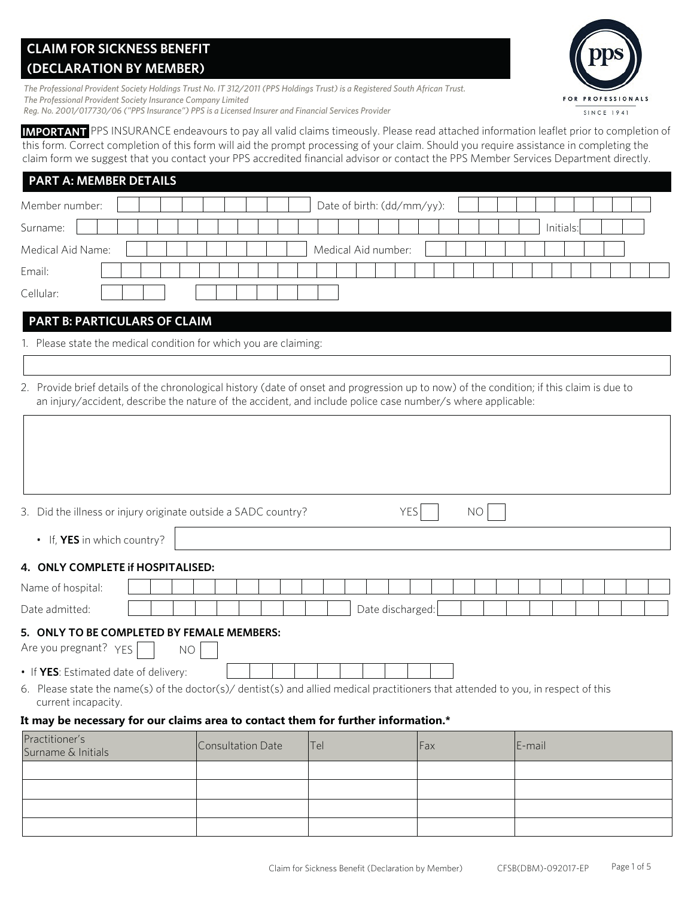# **CLAIM FOR SICKNESS BENEFIT (DECLARATION BY MEMBER)**

*The Professional Provident Society Holdings Trust No. IT 312/2011 (PPS Holdings Trust) is a Registered South African Trust. The Professional Provident Society Insurance Company Limited Reg. No. 2001/017730/06 ("PPS Insurance") PPS is a Licensed Insurer and Financial Services Provider*

**IMPORTANT** PPS INSURANCE endeavours to pay all valid claims timeously. Please read attached information leaflet prior to completion of this form. Correct completion of this form will aid the prompt processing of your claim. Should you require assistance in completing the claim form we suggest that you contact your PPS accredited financial advisor or contact the PPS Member Services Department directly.

| <b>PART A: MEMBER DETAILS</b> |  |                            |           |  |
|-------------------------------|--|----------------------------|-----------|--|
| Member number:                |  | Date of birth: (dd/mm/yy): |           |  |
| Surname:                      |  |                            | Initials: |  |
| Medical Aid Name:             |  | Medical Aid number:        |           |  |
| Email:                        |  |                            |           |  |
| Cellular:                     |  |                            |           |  |

# **PART B: PARTICULARS OF CLAIM**

1. Please state the medical condition for which you are claiming:

2. Provide brief details of the chronological history (date of onset and progression up to now) of the condition; if this claim is due to an injury/accident, describe the nature of the accident, and include police case number/s where applicable:

| 3. Did the illness or injury originate outside a SADC country?                                                                                            |                   | <b>YES</b>       | NO.  |        |
|-----------------------------------------------------------------------------------------------------------------------------------------------------------|-------------------|------------------|------|--------|
| • If, <b>YES</b> in which country?                                                                                                                        |                   |                  |      |        |
| 4. ONLY COMPLETE if HOSPITALISED:                                                                                                                         |                   |                  |      |        |
| Name of hospital:                                                                                                                                         |                   |                  |      |        |
| Date admitted:                                                                                                                                            |                   | Date discharged: |      |        |
| 5. ONLY TO BE COMPLETED BY FEMALE MEMBERS:<br>Are you pregnant? YES<br><b>NO</b>                                                                          |                   |                  |      |        |
| • If YES: Estimated date of delivery:                                                                                                                     |                   |                  |      |        |
| 6. Please state the name(s) of the doctor(s)/ dentist(s) and allied medical practitioners that attended to you, in respect of this<br>current incapacity. |                   |                  |      |        |
| It may be necessary for our claims area to contact them for further information.*                                                                         |                   |                  |      |        |
| Practitioner's<br>Surname & Initials                                                                                                                      | Consultation Date | <b>ITel</b>      | lFax | E-mail |
|                                                                                                                                                           |                   |                  |      |        |

| Surname & Initials | <b>ICONSUITATION DUTE</b> | $\overline{\phantom{0}}$ | $\mathsf{I}$ and $\mathsf{I}$ | $L$ $H$ |
|--------------------|---------------------------|--------------------------|-------------------------------|---------|
|                    |                           |                          |                               |         |
|                    |                           |                          |                               |         |
|                    |                           |                          |                               |         |
|                    |                           |                          |                               |         |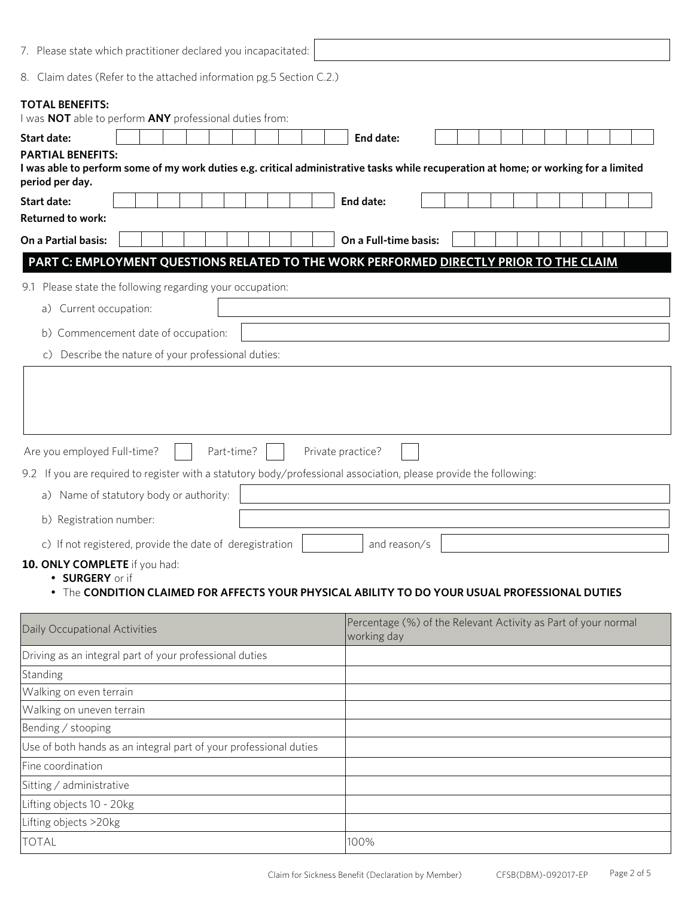| 7. Please state which practitioner declared you incapacitated:                                                                                                 |                                                                                                                                      |
|----------------------------------------------------------------------------------------------------------------------------------------------------------------|--------------------------------------------------------------------------------------------------------------------------------------|
| 8. Claim dates (Refer to the attached information pg.5 Section C.2.)                                                                                           |                                                                                                                                      |
| <b>TOTAL BENEFITS:</b><br>I was NOT able to perform ANY professional duties from:                                                                              |                                                                                                                                      |
| <b>Start date:</b>                                                                                                                                             | End date:                                                                                                                            |
| <b>PARTIAL BENEFITS:</b><br>period per day.                                                                                                                    | I was able to perform some of my work duties e.g. critical administrative tasks while recuperation at home; or working for a limited |
| <b>Start date:</b>                                                                                                                                             | End date:                                                                                                                            |
| <b>Returned to work:</b>                                                                                                                                       |                                                                                                                                      |
| On a Partial basis:                                                                                                                                            | On a Full-time basis:                                                                                                                |
| PART C: EMPLOYMENT QUESTIONS RELATED TO THE WORK PERFORMED DIRECTLY PRIOR TO THE CLAIM                                                                         |                                                                                                                                      |
| 9.1 Please state the following regarding your occupation:                                                                                                      |                                                                                                                                      |
| Current occupation:<br>a)                                                                                                                                      |                                                                                                                                      |
|                                                                                                                                                                |                                                                                                                                      |
| b) Commencement date of occupation:                                                                                                                            |                                                                                                                                      |
| Describe the nature of your professional duties:<br>C)                                                                                                         |                                                                                                                                      |
| Part-time?<br>Are you employed Full-time?<br>9.2 If you are required to register with a statutory body/professional association, please provide the following: | Private practice?                                                                                                                    |
| a) Name of statutory body or authority:                                                                                                                        |                                                                                                                                      |
| b) Registration number:                                                                                                                                        |                                                                                                                                      |
| c) If not registered, provide the date of deregistration                                                                                                       | and reason/s                                                                                                                         |
| 10. ONLY COMPLETE if you had:<br>· SURGERY or if                                                                                                               | The CONDITION CLAIMED FOR AFFECTS YOUR PHYSICAL ABILITY TO DO YOUR USUAL PROFESSIONAL DUTIES                                         |
| Daily Occupational Activities                                                                                                                                  | Percentage (%) of the Relevant Activity as Part of your normal<br>working day                                                        |
| Driving as an integral part of your professional duties                                                                                                        |                                                                                                                                      |
| Standing                                                                                                                                                       |                                                                                                                                      |
| Walking on even terrain                                                                                                                                        |                                                                                                                                      |
| Walking on uneven terrain                                                                                                                                      |                                                                                                                                      |
| Bending / stooping                                                                                                                                             |                                                                                                                                      |
| Use of both hands as an integral part of your professional duties                                                                                              |                                                                                                                                      |
| Fine coordination                                                                                                                                              |                                                                                                                                      |
| Sitting / administrative                                                                                                                                       |                                                                                                                                      |
| Lifting objects 10 - 20kg                                                                                                                                      |                                                                                                                                      |
| Lifting objects >20kg                                                                                                                                          |                                                                                                                                      |
| <b>TOTAL</b>                                                                                                                                                   | 100%                                                                                                                                 |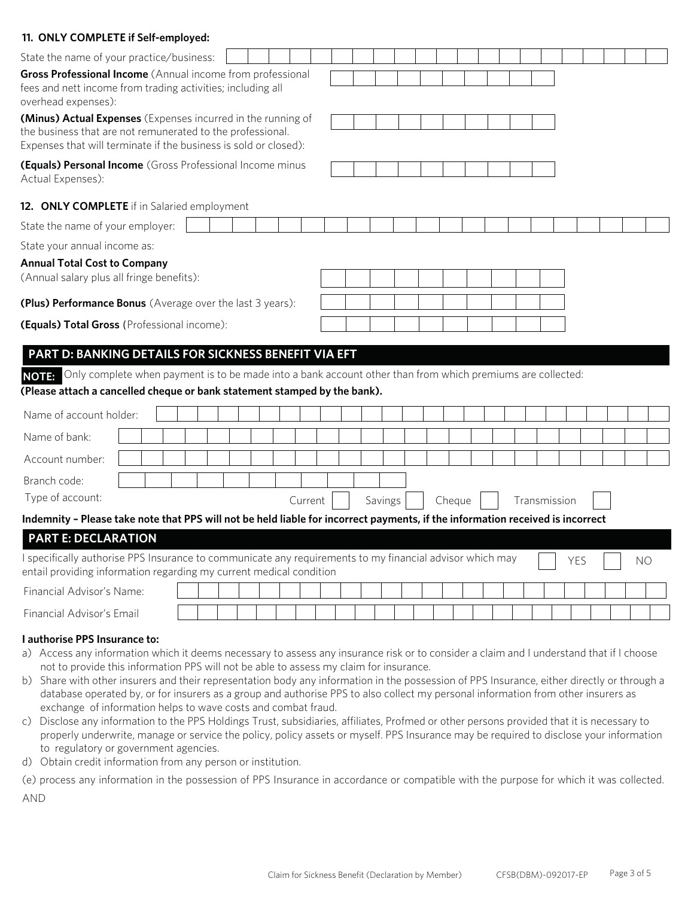| State the name of your practice/business:                                                                                                                                                               |  |  |  |  |         |  |         |  |        |  |  |              |            |  |    |
|---------------------------------------------------------------------------------------------------------------------------------------------------------------------------------------------------------|--|--|--|--|---------|--|---------|--|--------|--|--|--------------|------------|--|----|
| Gross Professional Income (Annual income from professional<br>fees and nett income from trading activities; including all<br>overhead expenses):                                                        |  |  |  |  |         |  |         |  |        |  |  |              |            |  |    |
| (Minus) Actual Expenses (Expenses incurred in the running of<br>the business that are not remunerated to the professional.<br>Expenses that will terminate if the business is sold or closed):          |  |  |  |  |         |  |         |  |        |  |  |              |            |  |    |
| (Equals) Personal Income (Gross Professional Income minus<br>Actual Expenses):                                                                                                                          |  |  |  |  |         |  |         |  |        |  |  |              |            |  |    |
| 12. ONLY COMPLETE if in Salaried employment                                                                                                                                                             |  |  |  |  |         |  |         |  |        |  |  |              |            |  |    |
| State the name of your employer:                                                                                                                                                                        |  |  |  |  |         |  |         |  |        |  |  |              |            |  |    |
| State your annual income as:                                                                                                                                                                            |  |  |  |  |         |  |         |  |        |  |  |              |            |  |    |
| <b>Annual Total Cost to Company</b><br>(Annual salary plus all fringe benefits):                                                                                                                        |  |  |  |  |         |  |         |  |        |  |  |              |            |  |    |
| (Plus) Performance Bonus (Average over the last 3 years):                                                                                                                                               |  |  |  |  |         |  |         |  |        |  |  |              |            |  |    |
| (Equals) Total Gross (Professional income):                                                                                                                                                             |  |  |  |  |         |  |         |  |        |  |  |              |            |  |    |
|                                                                                                                                                                                                         |  |  |  |  |         |  |         |  |        |  |  |              |            |  |    |
| PART D: BANKING DETAILS FOR SICKNESS BENEFIT VIA EFT                                                                                                                                                    |  |  |  |  |         |  |         |  |        |  |  |              |            |  |    |
| Only complete when payment is to be made into a bank account other than from which premiums are collected:<br><b>NOTE:</b><br>(Please attach a cancelled cheque or bank statement stamped by the bank). |  |  |  |  |         |  |         |  |        |  |  |              |            |  |    |
| Name of account holder:                                                                                                                                                                                 |  |  |  |  |         |  |         |  |        |  |  |              |            |  |    |
| Name of bank:                                                                                                                                                                                           |  |  |  |  |         |  |         |  |        |  |  |              |            |  |    |
| Account number:                                                                                                                                                                                         |  |  |  |  |         |  |         |  |        |  |  |              |            |  |    |
| Branch code:                                                                                                                                                                                            |  |  |  |  |         |  |         |  |        |  |  |              |            |  |    |
| Type of account:                                                                                                                                                                                        |  |  |  |  | Current |  | Savings |  | Cheque |  |  | Transmission |            |  |    |
| Indemnity - Please take note that PPS will not be held liable for incorrect payments, if the information received is incorrect                                                                          |  |  |  |  |         |  |         |  |        |  |  |              |            |  |    |
| <b>PART E: DECLARATION</b>                                                                                                                                                                              |  |  |  |  |         |  |         |  |        |  |  |              |            |  |    |
| I specifically authorise PPS Insurance to communicate any requirements to my financial advisor which may<br>entail providing information regarding my current medical condition                         |  |  |  |  |         |  |         |  |        |  |  |              | <b>YES</b> |  | NO |
| Financial Advisor's Name:                                                                                                                                                                               |  |  |  |  |         |  |         |  |        |  |  |              |            |  |    |
| Financial Advisor's Email                                                                                                                                                                               |  |  |  |  |         |  |         |  |        |  |  |              |            |  |    |
| I authorise PPS Insurance to:<br>a) Access any information which it deems necessary to assess any insurance risk or to consider a claim and I understand that if I choose                               |  |  |  |  |         |  |         |  |        |  |  |              |            |  |    |

- not to provide this information PPS will not be able to assess my claim for insurance.
- b) Share with other insurers and their representation body any information in the possession of PPS Insurance, either directly or through a database operated by, or for insurers as a group and authorise PPS to also collect my personal information from other insurers as exchange of information helps to wave costs and combat fraud.
- c) Disclose any information to the PPS Holdings Trust, subsidiaries, affiliates, Profmed or other persons provided that it is necessary to properly underwrite, manage or service the policy, policy assets or myself. PPS Insurance may be required to disclose your information to regulatory or government agencies.
- d) Obtain credit information from any person or institution.

**11. ONLY COMPLETE if Self-employed:**

(e) process any information in the possession of PPS Insurance in accordance or compatible with the purpose for which it was collected. AND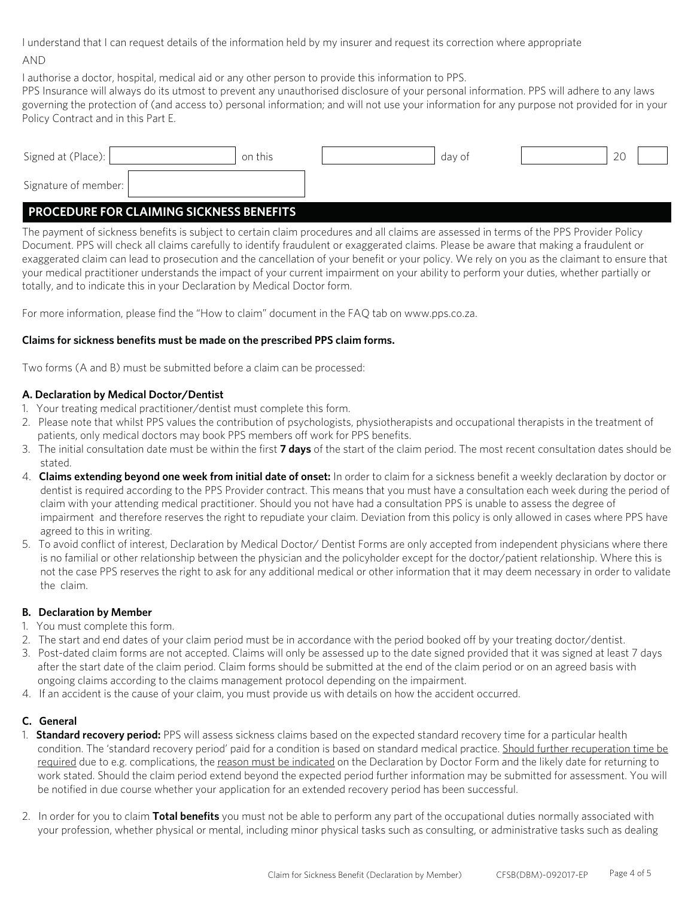I understand that I can request details of the information held by my insurer and request its correction where appropriate

#### AND

I authorise a doctor, hospital, medical aid or any other person to provide this information to PPS.

PPS Insurance will always do its utmost to prevent any unauthorised disclosure of your personal information. PPS will adhere to any laws governing the protection of (and access to) personal information; and will not use your information for any purpose not provided for in your Policy Contract and in this Part E.

| Signed at (Place):   | on this | day of | $\cap$<br>∠∪ |  |
|----------------------|---------|--------|--------------|--|
| Signature of member: |         |        |              |  |

# **PROCEDURE FOR CLAIMING SICKNESS BENEFITS**

The payment of sickness benefits is subject to certain claim procedures and all claims are assessed in terms of the PPS Provider Policy Document. PPS will check all claims carefully to identify fraudulent or exaggerated claims. Please be aware that making a fraudulent or exaggerated claim can lead to prosecution and the cancellation of your benefit or your policy. We rely on you as the claimant to ensure that your medical practitioner understands the impact of your current impairment on your ability to perform your duties, whether partially or totally, and to indicate this in your Declaration by Medical Doctor form.

For more information, please find the "How to claim" document in the FAQ tab on www.pps.co.za.

## **Claims for sickness benefits must be made on the prescribed PPS claim forms.**

Two forms (A and B) must be submitted before a claim can be processed:

## **A. Declaration by Medical Doctor/Dentist**

- 1. Your treating medical practitioner/dentist must complete this form.
- 2. Please note that whilst PPS values the contribution of psychologists, physiotherapists and occupational therapists in the treatment of patients, only medical doctors may book PPS members off work for PPS benefits.
- 3. The initial consultation date must be within the first **7 days** of the start of the claim period. The most recent consultation dates should be stated.
- 4. **Claims extending beyond one week from initial date of onset:** In order to claim for a sickness benefit a weekly declaration by doctor or dentist is required according to the PPS Provider contract. This means that you must have a consultation each week during the period of claim with your attending medical practitioner. Should you not have had a consultation PPS is unable to assess the degree of impairment and therefore reserves the right to repudiate your claim. Deviation from this policy is only allowed in cases where PPS have agreed to this in writing.
- 5. To avoid conflict of interest, Declaration by Medical Doctor/ Dentist Forms are only accepted from independent physicians where there is no familial or other relationship between the physician and the policyholder except for the doctor/patient relationship. Where this is not the case PPS reserves the right to ask for any additional medical or other information that it may deem necessary in order to validate the claim.

## **B. Declaration by Member**

- 1. You must complete this form.
- 2. The start and end dates of your claim period must be in accordance with the period booked off by your treating doctor/dentist.
- 3. Post-dated claim forms are not accepted. Claims will only be assessed up to the date signed provided that it was signed at least 7 days after the start date of the claim period. Claim forms should be submitted at the end of the claim period or on an agreed basis with ongoing claims according to the claims management protocol depending on the impairment.
- 4. If an accident is the cause of your claim, you must provide us with details on how the accident occurred.

## **C. General**

- 1. **Standard recovery period:** PPS will assess sickness claims based on the expected standard recovery time for a particular health condition. The 'standard recovery period' paid for a condition is based on standard medical practice. Should further recuperation time be required due to e.g. complications, the reason must be indicated on the Declaration by Doctor Form and the likely date for returning to work stated. Should the claim period extend beyond the expected period further information may be submitted for assessment. You will be notified in due course whether your application for an extended recovery period has been successful.
- 2. In order for you to claim **Total benefits** you must not be able to perform any part of the occupational duties normally associated with your profession, whether physical or mental, including minor physical tasks such as consulting, or administrative tasks such as dealing